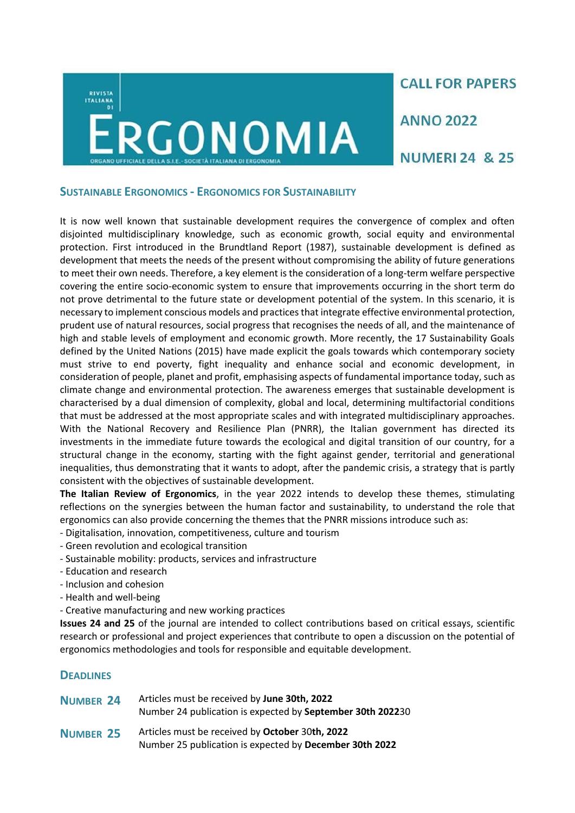

**CALL FOR PAPERS** 

**ANNO 2022** 

**NUMERI 24 & 25** 

# **SUSTAINABLE ERGONOMICS - ERGONOMICS FOR SUSTAINABILITY**

It is now well known that sustainable development requires the convergence of complex and often disjointed multidisciplinary knowledge, such as economic growth, social equity and environmental protection. First introduced in the Brundtland Report (1987), sustainable development is defined as development that meets the needs of the present without compromising the ability of future generations to meet their own needs. Therefore, a key element is the consideration of a long-term welfare perspective covering the entire socio-economic system to ensure that improvements occurring in the short term do not prove detrimental to the future state or development potential of the system. In this scenario, it is necessary to implement conscious models and practices that integrate effective environmental protection, prudent use of natural resources, social progress that recognises the needs of all, and the maintenance of high and stable levels of employment and economic growth. More recently, the 17 Sustainability Goals defined by the United Nations (2015) have made explicit the goals towards which contemporary society must strive to end poverty, fight inequality and enhance social and economic development, in consideration of people, planet and profit, emphasising aspects of fundamental importance today, such as climate change and environmental protection. The awareness emerges that sustainable development is characterised by a dual dimension of complexity, global and local, determining multifactorial conditions that must be addressed at the most appropriate scales and with integrated multidisciplinary approaches. With the National Recovery and Resilience Plan (PNRR), the Italian government has directed its investments in the immediate future towards the ecological and digital transition of our country, for a structural change in the economy, starting with the fight against gender, territorial and generational inequalities, thus demonstrating that it wants to adopt, after the pandemic crisis, a strategy that is partly consistent with the objectives of sustainable development.

**The Italian Review of Ergonomics**, in the year 2022 intends to develop these themes, stimulating reflections on the synergies between the human factor and sustainability, to understand the role that ergonomics can also provide concerning the themes that the PNRR missions introduce such as:

- Digitalisation, innovation, competitiveness, culture and tourism
- Green revolution and ecological transition
- Sustainable mobility: products, services and infrastructure
- Education and research
- Inclusion and cohesion
- Health and well-being
- Creative manufacturing and new working practices

**Issues 24 and 25** of the journal are intended to collect contributions based on critical essays, scientific research or professional and project experiences that contribute to open a discussion on the potential of ergonomics methodologies and tools for responsible and equitable development.

# **DEADLINES**

| <b>NUMBER 24</b> | Articles must be received by June 30th, 2022<br>Number 24 publication is expected by September 30th 202230 |
|------------------|------------------------------------------------------------------------------------------------------------|
| <b>NUMBER 25</b> | Articles must be received by October 30th, 2022<br>Number 25 publication is expected by December 30th 2022 |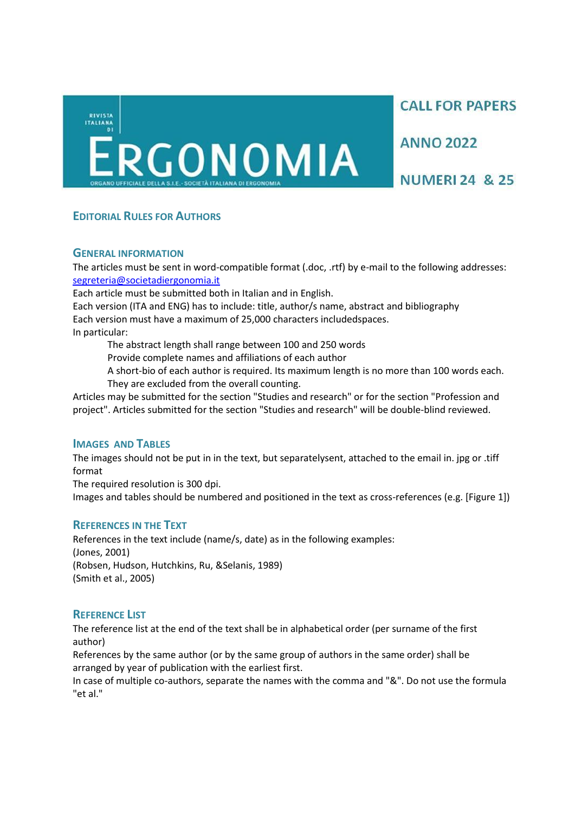**CALL FOR PAPERS** 

**ANNO 2022** 

**NUMERI 24 & 25** 

# **EDITORIAL RULES FOR AUTHORS**

## **GENERAL INFORMATION**

The articles must be sent in word-compatible format (.doc, .rtf) by e-mail to the following addresses: [segreteria@societadiergonomia.it](mailto:secretaria@societadiergonomia.it)

Each article must be submitted both in Italian and in English.

Each version (ITA and ENG) has to include: title, author/s name, abstract and bibliography Each version must have a maximum of 25,000 characters includedspaces. In particular:

The abstract length shall range between 100 and 250 words

Provide complete names and affiliations of each author

A short-bio of each author is required. Its maximum length is no more than 100 words each. They are excluded from the overall counting.

Articles may be submitted for the section "Studies and research" or for the section "Profession and project". Articles submitted for the section "Studies and research" will be double-blind reviewed.

# **IMAGES AND TABLES**

The images should not be put in in the text, but separatelysent, attached to the email in. jpg or .tiff format

The required resolution is 300 dpi.

Images and tables should be numbered and positioned in the text as cross-references (e.g. [Figure 1])

# **REFERENCES IN THE TEXT**

References in the text include (name/s, date) as in the following examples: (Jones, 2001) (Robsen, Hudson, Hutchkins, Ru, &Selanis, 1989) (Smith et al., 2005)

# **REFERENCE LIST**

The reference list at the end of the text shall be in alphabetical order (per surname of the first author)

References by the same author (or by the same group of authors in the same order) shall be arranged by year of publication with the earliest first.

In case of multiple co-authors, separate the names with the comma and "&". Do not use the formula "et al."